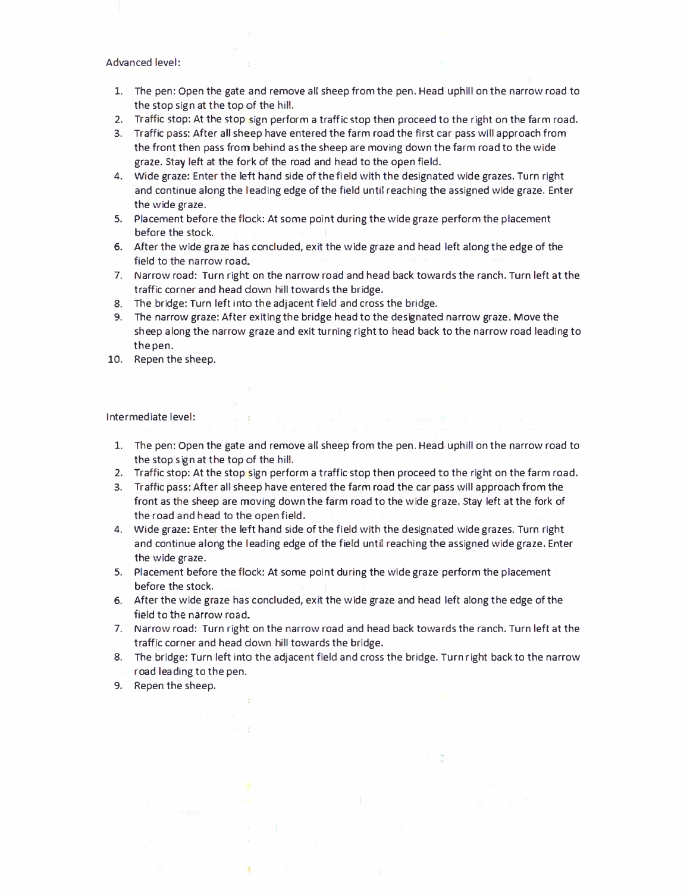## Advanced level:

- 1. The pen: Open the gate and *remove* all sheep from the pen. Head uphill on the narrow road to the stop sign at the top of the hill.
- 2. Traffic stop: At the stop sign perform a traffic stop then proceed to the right on the farm road.
- 3. Traffic pass: After all sheep have entered the farm road the first car pass will approach from the front then pass from behind as the sheep are moving down the farm road to the wide graze. Stay left at the fork of the road and head to the open field.
- 4. Wide graze: Enter the left hand side of the field with the designated wide grazes. Turn right and continue along the leading edge of the field until reaching the assigned wide graze. Enter the wide graze.
- 5. Placement before the flock: At some point during the wide graze perform the placement before the stock.
- 6. After the wide graze has concluded, exit the wide graze and head left along the edge of the field to the narrow road.
- 7. Narrow road: Turn right on the narrow road and head back towards the ranch. Turn left at the traffic corner and head down hill towards the bridge.
- 8. The bridge: Turn left into the adjacent field and cross the bridge.
- 9. The narrow graze: After exiting the bridge head to the designated narrow graze. Move the sheep along the narrow graze and exit turning right to head back to the narrow road leading to the pen.
- 10. Repen the sheep.

Intermediate level:

- 1. The pen: Open the gate and *remove* all sheep from the pen. Head uphill on the narrow road to the stop sign at the top of the hill.
- 2. Traffic stop: At the stop sign perform a traffic stop then proceed to the right on the farm road.
- 3. Traffic pass: After all sheep have entered the farm road the car pass will approach from the front as the sheep are moving down the farm road to the wide graze. Stay left at the fork of the road and head to the open field.
- 4. Wide graze: Enter the left hand side of the field with the designated wide grazes. Turn right and continue along the leading edge of the field until reaching the assigned wide graze. Enter the wide graze.
- 5. Placement before the flock: At some point during the wide graze perform the placement before the stock.
- 6. After the wide graze has concluded, exit the wide graze and head left along the edge of the field to the narrow road.
- 7. Narrow road: Turn right on the narrow road and head back towards the ranch. Turn left at the traffic corner and head down hill towards the bridge.
- 8. The bridge: Turn left into the adjacent field and cross the bridge. Turn right back to the narrow road leading to the pen.
- 9. Repen the sheep.

٠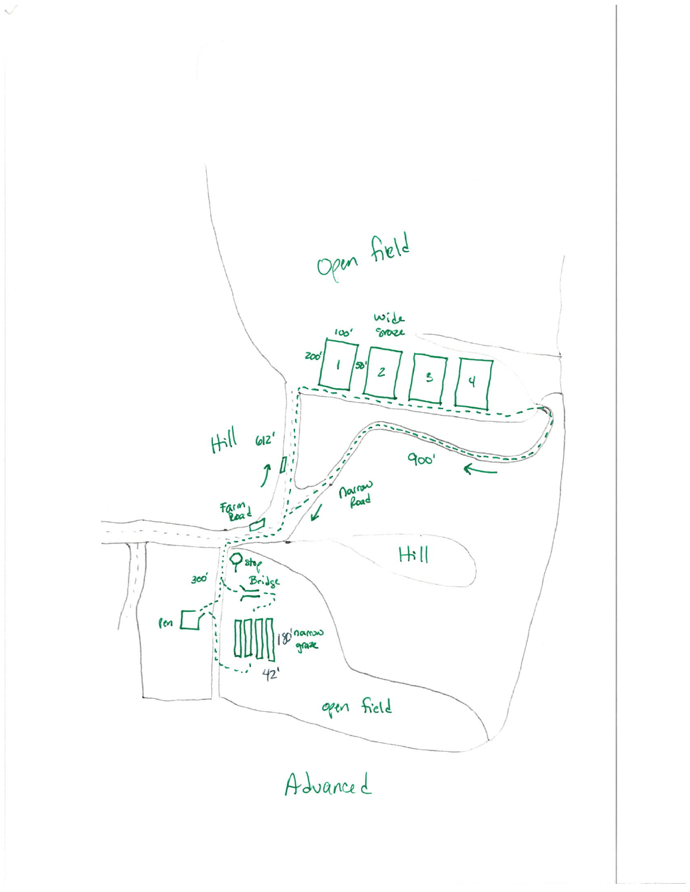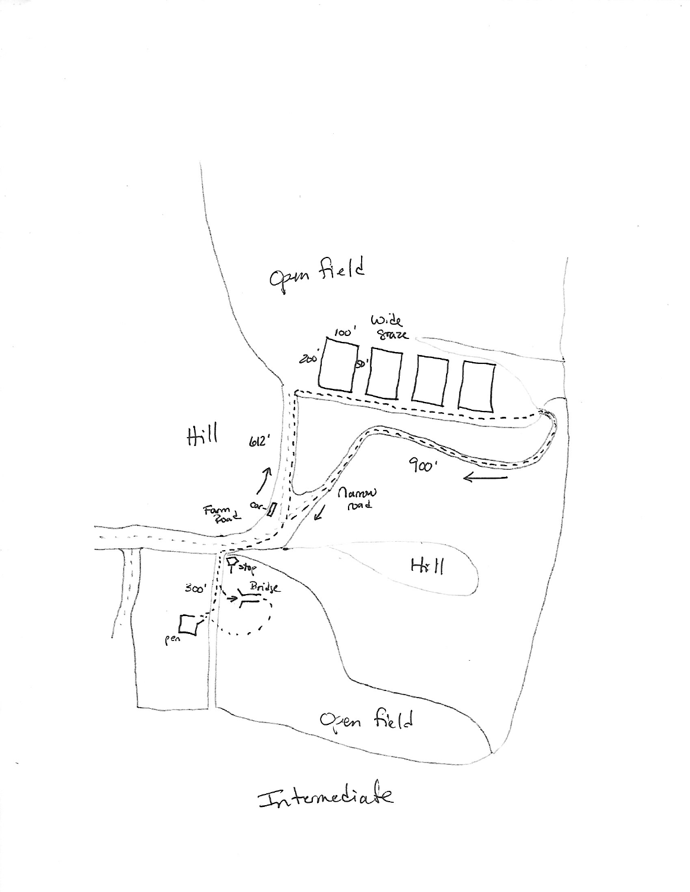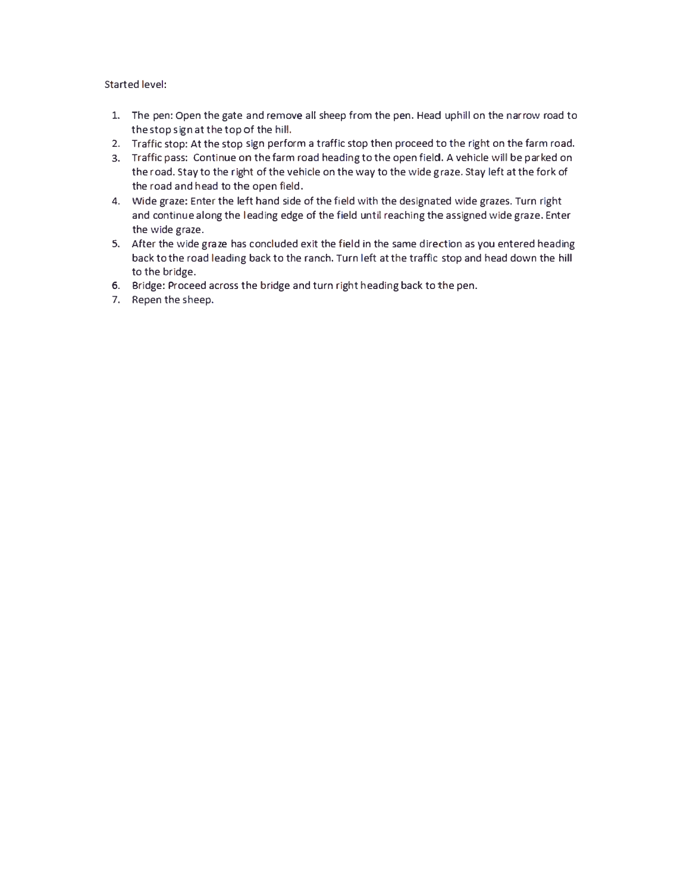## Started level:

- 1. The pen: Open the gate and remove all sheep from the pen. Head uphill on the narrow road to the stop sign at the top of the hill.
- 2. Traffic stop: At the stop sign perform a traffic stop then proceed to the right on the farm road.
- 3. Traffic pass: Continue on the farm road heading to the open field. A vehicle will be parked on the road. Stay to the right of the vehicle on the way to the wide graze. Stay left at the fork of the road and head to the open field.
- 4. Wide graze: Enter the left hand side of the field with the designated wide grazes. Turn right and continue along the leading edge of the field until reaching the assigned wide graze. Enter the wide graze.
- 5. After the wide graze has concluded exit the field in the same direction as you entered heading back to the road leading back to the ranch. Turn left at the traffic stop and head down the hill to the bridge.
- 6. Bridge: Proceed across the bridge and turn right heading back to the pen.
- 7. Repen the sheep.